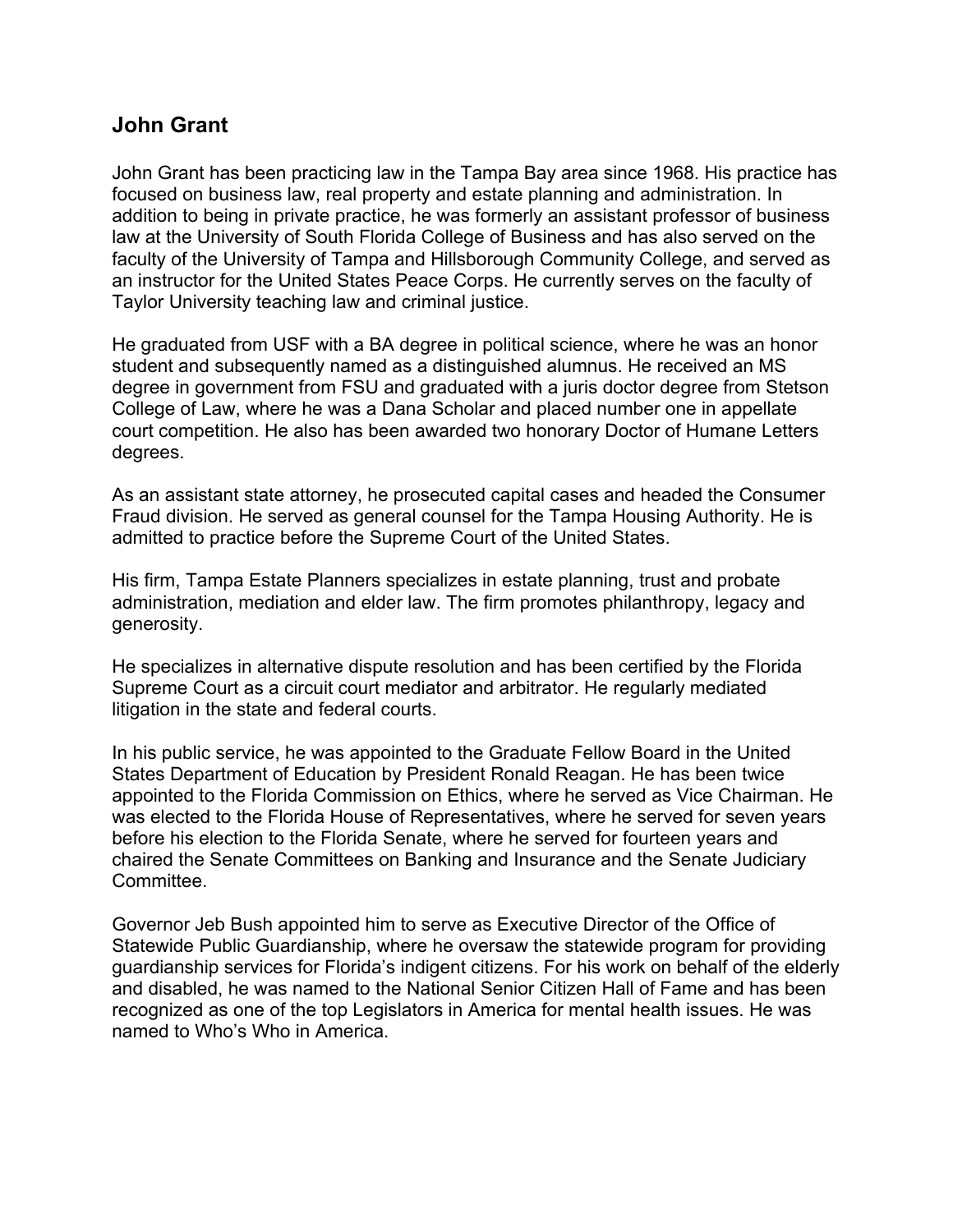## **John Grant**

John Grant has been practicing law in the Tampa Bay area since 1968. His practice has focused on business law, real property and estate planning and administration. In addition to being in private practice, he was formerly an assistant professor of business law at the University of South Florida College of Business and has also served on the faculty of the University of Tampa and Hillsborough Community College, and served as an instructor for the United States Peace Corps. He currently serves on the faculty of Taylor University teaching law and criminal justice.

He graduated from USF with a BA degree in political science, where he was an honor student and subsequently named as a distinguished alumnus. He received an MS degree in government from FSU and graduated with a juris doctor degree from Stetson College of Law, where he was a Dana Scholar and placed number one in appellate court competition. He also has been awarded two honorary Doctor of Humane Letters degrees.

As an assistant state attorney, he prosecuted capital cases and headed the Consumer Fraud division. He served as general counsel for the Tampa Housing Authority. He is admitted to practice before the Supreme Court of the United States.

His firm, Tampa Estate Planners specializes in estate planning, trust and probate administration, mediation and elder law. The firm promotes philanthropy, legacy and generosity.

He specializes in alternative dispute resolution and has been certified by the Florida Supreme Court as a circuit court mediator and arbitrator. He regularly mediated litigation in the state and federal courts.

In his public service, he was appointed to the Graduate Fellow Board in the United States Department of Education by President Ronald Reagan. He has been twice appointed to the Florida Commission on Ethics, where he served as Vice Chairman. He was elected to the Florida House of Representatives, where he served for seven years before his election to the Florida Senate, where he served for fourteen years and chaired the Senate Committees on Banking and Insurance and the Senate Judiciary Committee.

Governor Jeb Bush appointed him to serve as Executive Director of the Office of Statewide Public Guardianship, where he oversaw the statewide program for providing guardianship services for Florida's indigent citizens. For his work on behalf of the elderly and disabled, he was named to the National Senior Citizen Hall of Fame and has been recognized as one of the top Legislators in America for mental health issues. He was named to Who's Who in America.